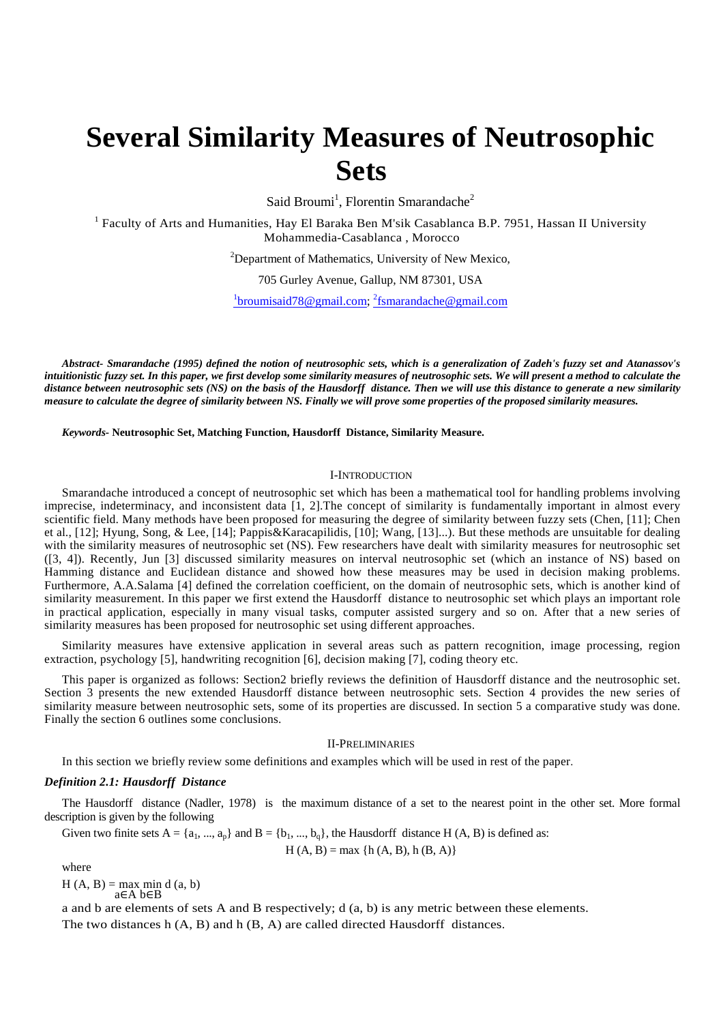# **Several Similarity Measures of Neutrosophic Sets**

Said Broumi<sup>1</sup>, Florentin Smarandache<sup>2</sup>

<sup>1</sup> Faculty of Arts and Humanities, Hay El Baraka Ben M'sik Casablanca B.P. 7951, Hassan II University Mohammedia-Casablanca , Morocco

 $2$ Department of Mathematics, University of New Mexico,

705 Gurley Avenue, Gallup, NM 87301, USA

<sup>1</sup>broumisaid78@gmail.com; <sup>2</sup>fsmarandache@gmail.com

*Abstract- Smarandache (1995) defined the notion of neutrosophic sets, which is a generalization of Zadeh's fuzzy set and Atanassov's intuitionistic fuzzy set. In this paper, we first develop some similarity measures of neutrosophic sets. We will present a method to calculate the distance between neutrosophic sets (NS) on the basis of the Hausdorff distance. Then we will use this distance to generate a new similarity measure to calculate the degree of similarity between NS. Finally we will prove some properties of the proposed similarity measures.*

*Keywords-* **Neutrosophic Set, Matching Function, Hausdorff Distance, Similarity Measure.** 

# I-INTRODUCTION

Smarandache introduced a concept of neutrosophic set which has been a mathematical tool for handling problems involving imprecise, indeterminacy, and inconsistent data [1, 2].The concept of similarity is fundamentally important in almost every scientific field. Many methods have been proposed for measuring the degree of similarity between fuzzy sets (Chen, [11]; Chen et al., [12]; Hyung, Song, & Lee, [14]; Pappis&Karacapilidis, [10]; Wang, [13]...). But these methods are unsuitable for dealing with the similarity measures of neutrosophic set (NS). Few researchers have dealt with similarity measures for neutrosophic set ([3, 4]). Recently, Jun [3] discussed similarity measures on interval neutrosophic set (which an instance of NS) based on Hamming distance and Euclidean distance and showed how these measures may be used in decision making problems. Furthermore, A.A.Salama [4] defined the correlation coefficient, on the domain of neutrosophic sets, which is another kind of similarity measurement. In this paper we first extend the Hausdorff distance to neutrosophic set which plays an important role in practical application, especially in many visual tasks, computer assisted surgery and so on. After that a new series of similarity measures has been proposed for neutrosophic set using different approaches.

Similarity measures have extensive application in several areas such as pattern recognition, image processing, region extraction, psychology [5], handwriting recognition [6], decision making [7], coding theory etc.

This paper is organized as follows: Section2 briefly reviews the definition of Hausdorff distance and the neutrosophic set. Section 3 presents the new extended Hausdorff distance between neutrosophic sets. Section 4 provides the new series of similarity measure between neutrosophic sets, some of its properties are discussed. In section 5 a comparative study was done. Finally the section 6 outlines some conclusions.

### II-PRELIMINARIES

In this section we briefly review some definitions and examples which will be used in rest of the paper.

### *Definition 2.1: Hausdorff Distance*

The Hausdorff distance (Nadler, 1978) is the maximum distance of a set to the nearest point in the other set. More formal description is given by the following

Given two finite sets  $A = \{a_1, ..., a_n\}$  and  $B = \{b_1, ..., b_n\}$ , the Hausdorff distance H (A, B) is defined as:

$$
H(A, B) = max \{h(A, B), h(B, A)\}\
$$

where

 $H(A, B) = max min d (a, b)$ a∈A b∈B

a and b are elements of sets A and B respectively; d (a, b) is any metric between these elements. The two distances h (A, B) and h (B, A) are called directed Hausdorff distances.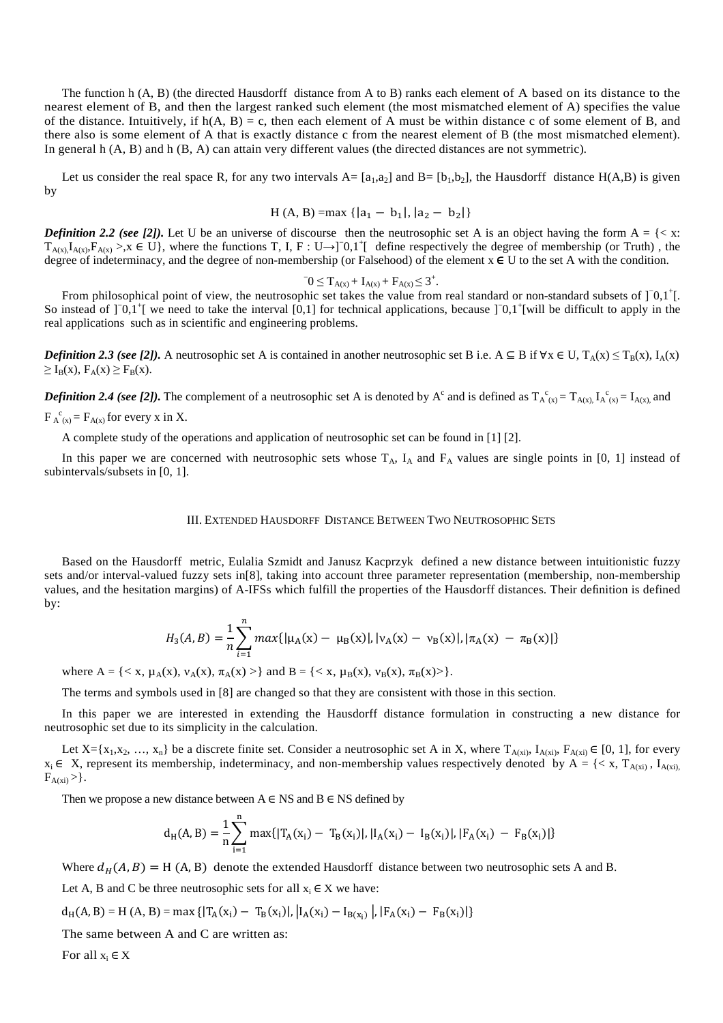The function h (A, B) (the directed Hausdorff distance from A to B) ranks each element of A based on its distance to the nearest element of B, and then the largest ranked such element (the most mismatched element of A) specifies the value of the distance. Intuitively, if  $h(A, B) = c$ , then each element of A must be within distance c of some element of B, and there also is some element of A that is exactly distance c from the nearest element of B (the most mismatched element). In general h  $(A, B)$  and h  $(B, A)$  can attain very different values (the directed distances are not symmetric).

Let us consider the real space R, for any two intervals  $A = [a_1, a_2]$  and  $B = [b_1, b_2]$ , the Hausdorff distance  $H(A, B)$  is given by

$$
H(A, B) = max \{ |a_1 - b_1|, |a_2 - b_2| \}
$$

*Definition 2.2 (see [2]).* Let U be an universe of discourse then the neutrosophic set A is an object having the form  $A = \{ \langle x : A \rangle \}$  $T_{A(x)}I_{A(x)}F_{A(x)} > x \in U$ , where the functions T, I, F : U  $\rightarrow$  [ 0,1<sup>+</sup>[ define respectively the degree of membership (or Truth), the degree of indeterminacy, and the degree of non-membership (or Falsehood) of the element  $x \in U$  to the set A with the condition.

$$
0 \leq T_{A(x)} + I_{A(x)} + F_{A(x)} \leq 3^+.
$$

From philosophical point of view, the neutrosophic set takes the value from real standard or non-standard subsets of ]<sup>−0,1+</sup>[. So instead of ]<sup>−0</sup>,1<sup>+</sup>[ we need to take the interval [0,1] for technical applications, because ]<sup>−0</sup>,1<sup>+</sup>[will be difficult to apply in the real applications such as in scientific and engineering problems.

*Definition 2.3 (see [2]).* A neutrosophic set A is contained in another neutrosophic set B i.e. A ⊆ B if ∀x ∈ U, T<sub>A</sub>(x) ≤ T<sub>B</sub>(x), I<sub>A</sub>(x)  $\geq I_B(x)$ ,  $F_A(x) \geq F_B(x)$ .

**Definition 2.4 (see [2]).** The complement of a neutrosophic set A is denoted by A<sup>c</sup> and is defined as  $T_A^c{}_{(x)} = T_{A(x)}$ ,  $I_A^c{}_{(x)} = I_{A(x)}$ , and  $F_A^c{}_{(x)} = F_{A(x)}$  for every x in X.

A complete study of the operations and application of neutrosophic set can be found in [1] [2].

In this paper we are concerned with neutrosophic sets whose  $T_A$ ,  $I_A$  and  $F_A$  values are single points in [0, 1] instead of subintervals/subsets in [0, 1].

### III. EXTENDED HAUSDORFF DISTANCE BETWEEN TWO NEUTROSOPHIC SETS

Based on the Hausdorff metric, Eulalia Szmidt and Janusz Kacprzyk defined a new distance between intuitionistic fuzzy sets and/or interval-valued fuzzy sets in[8], taking into account three parameter representation (membership, non-membership values, and the hesitation margins) of A-IFSs which fulfill the properties of the Hausdorff distances. Their definition is defined by:

$$
H_3(A, B) = \frac{1}{n} \sum_{i=1}^{n} max\{|\mu_A(x) - \mu_B(x)|, |v_A(x) - v_B(x)|, |\pi_A(x) - \pi_B(x)|\}
$$

where  $A = \{ \langle x, \mu_A(x), \nu_A(x), \pi_A(x) \rangle \}$  and  $B = \{ \langle x, \mu_B(x), \nu_B(x), \pi_B(x) \rangle \}.$ 

The terms and symbols used in [8] are changed so that they are consistent with those in this section.

In this paper we are interested in extending the Hausdorff distance formulation in constructing a new distance for neutrosophic set due to its simplicity in the calculation.

Let  $X = \{x_1, x_2, ..., x_n\}$  be a discrete finite set. Consider a neutrosophic set A in X, where  $T_{A(x_i)}, T_{A(x_i)}, F_{A(x_i)} \in [0, 1]$ , for every  $x_i \in X$ , represent its membership, indeterminacy, and non-membership values respectively denoted by  $A = \{ \langle x, T_{A(xi)}, I_{A(xi)} \rangle\}$  $F_{A(xi)} >$ .

Then we propose a new distance between  $A \in NS$  and  $B \in NS$  defined by

$$
d_H(A, B) = \frac{1}{n} \sum_{i=1}^{n} \max\{|T_A(x_i) - T_B(x_i)|, |I_A(x_i) - I_B(x_i)|, |F_A(x_i) - F_B(x_i)|\}
$$

Where  $d_H(A, B) = H(A, B)$  denote the extended Hausdorff distance between two neutrosophic sets A and B.

Let A, B and C be three neutrosophic sets for all  $x_i \in X$  we have:

$$
d_H(A, B) = H(A, B) = max \{ |T_A(x_i) - T_B(x_i)|, |I_A(x_i) - I_{B(x_i)}|, |F_A(x_i) - F_B(x_i)| \}
$$

The same between A and C are written as:

For all  $x_i \in X$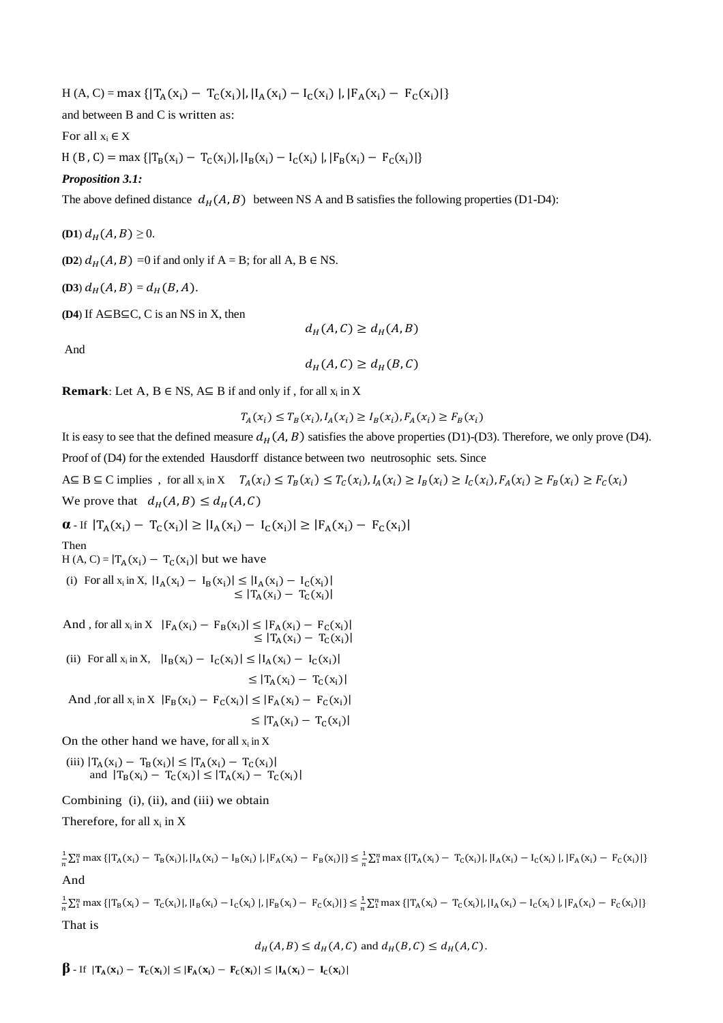$H(A, C) = \max \{ |T_A(x_i) - T_C(x_i)|, |I_A(x_i) - I_C(x_i)|, |F_A(x_i) - F_C(x_i)| \}$ 

and between B and C is written as:

For all  $x_i \in X$ 

H (B, C) = max { $|T_B(x_i) - T_C(x_i)|$ ,  $|I_B(x_i) - I_C(x_i)|$ ,  $|F_B(x_i) - F_C(x_i)|$ }

# *Proposition 3.1:*

The above defined distance  $d_H(A, B)$  between NS A and B satisfies the following properties (D1-D4):

**(D1)**  $d_H(A, B) \ge 0$ .

**(D2)**  $d_H(A, B) = 0$  if and only if A = B; for all A, B  $\in$  NS.

$$
(D3) dH(A, B) = dH(B, A).
$$

**(D4**) If A⊆B⊆C, C is an NS in X, then

And

$$
d_H(A,C) \geq d_H(B,C)
$$

 $d_H(A, C) \geq d_H(A, B)$ 

**Remark**: Let A,  $B \in NS$ ,  $A \subseteq B$  if and only if, for all  $x_i$  in X

 $T_A(x_i) \le T_B(x_i), I_A(x_i) \ge I_B(x_i), F_A(x_i) \ge F_B(x_i)$ 

It is easy to see that the defined measure  $d_H(A, B)$  satisfies the above properties (D1)-(D3). Therefore, we only prove (D4). Proof of (D4) for the extended Hausdorff distance between two neutrosophic sets. Since A⊆ B⊆ C implies, for all  $x_i$  in  $X$   $T_A(x_i) \leq T_B(x_i) \leq T_C(x_i)$ ,  $I_A(x_i) \geq I_B(x_i) \geq I_C(x_i)$ ,  $F_A(x_i) \geq F_B(x_i) \geq F_C(x_i)$ We prove that  $d_H(A, B) \leq d_H(A, C)$ 

 $\alpha$ - If  $|T_A(x_i) - T_C(x_i)| \ge |I_A(x_i) - I_C(x_i)| \ge |F_A(x_i) - F_C(x_i)|$ 

Then

 $H(A, C) = |T_A(x_i) - T_C(x_i)|$  but we have

(i) For all  $x_i$  in X,  $|I_A(x_i) - I_B(x_i)| \leq |I_A(x_i) - I_C(x_i)|$  $\leq |T_A(x_i) - T_C(x_i)|$ 

And, for all  $x_i$  in  $X$   $|F_A(x_i) - F_B(x_i)| \leq |F_A(x_i) - F_C(x_i)|$  $\leq |T_A(x_i) - T_C(x_i)|$ 

(ii) For all 
$$
x_i
$$
 in X,  $|I_B(x_i) - I_C(x_i)| \le |I_A(x_i) - I_C(x_i)|$ 

$$
\leq |T_A(x_i) - T_C(x_i)|
$$

And , for all  $x_i$  in  $X$   $|F_B(x_i) - F_C(x_i)| \leq |F_A(x_i) - F_C(x_i)|$ 

 $\leq |T_A(x_i) - T_C(x_i)|$ 

On the other hand we have, for all  $x_i$  in X

$$
\begin{array}{c} \text{(iii)} \ |T_A(x_i) - T_B(x_i)| \leq |T_A(x_i) - T_C(x_i)| \\ \text{and } |T_B(x_i) - T_C(x_i)| \leq |T_A(x_i) - T_C(x_i)| \end{array}
$$

Combining (i), (ii), and (iii) we obtain

Therefore, for all  $x_i$  in X

 $\mathbf{1}$  $\frac{1}{n}\sum_{i=1}^{n} \max \{ |T_A(x_i) - T_B(x_i)|, |I_A(x_i) - I_B(x_i)|, |F_A(x_i) - F_B(x_i)| \} \leq \frac{1}{n}$  $\frac{1}{n}\sum_{i=1}^{n} \max \{ |T_A(x_i) - T_C(x_i)|, |I_A(x_i) - I_C(x_i)|, |F_A(x_i) - F_C(x_i)| \}$ And

 $\mathbf{1}$  $\frac{1}{n}\sum_{i=1}^{n} \max \{ |T_B(x_i) - T_C(x_i)|, |I_B(x_i) - I_C(x_i)|, |F_B(x_i) - F_C(x_i)| \} \leq \frac{1}{n}$  $\frac{1}{n}\sum_{i=1}^{n} \max \{ |T_A(x_i) - T_C(x_i)|, |I_A(x_i) - I_C(x_i)|, |F_A(x_i) - F_C(x_i)| \}$ That is

$$
d_H(A, B) \le d_H(A, C) \text{ and } d_H(B, C) \le d_H(A, C).
$$

 $\beta$  - If  $|T_A(x_i) - T_C(x_i)| \leq |F_A(x_i) - F_C(x_i)| \leq |I_A(x_i) - I_C(x_i)|$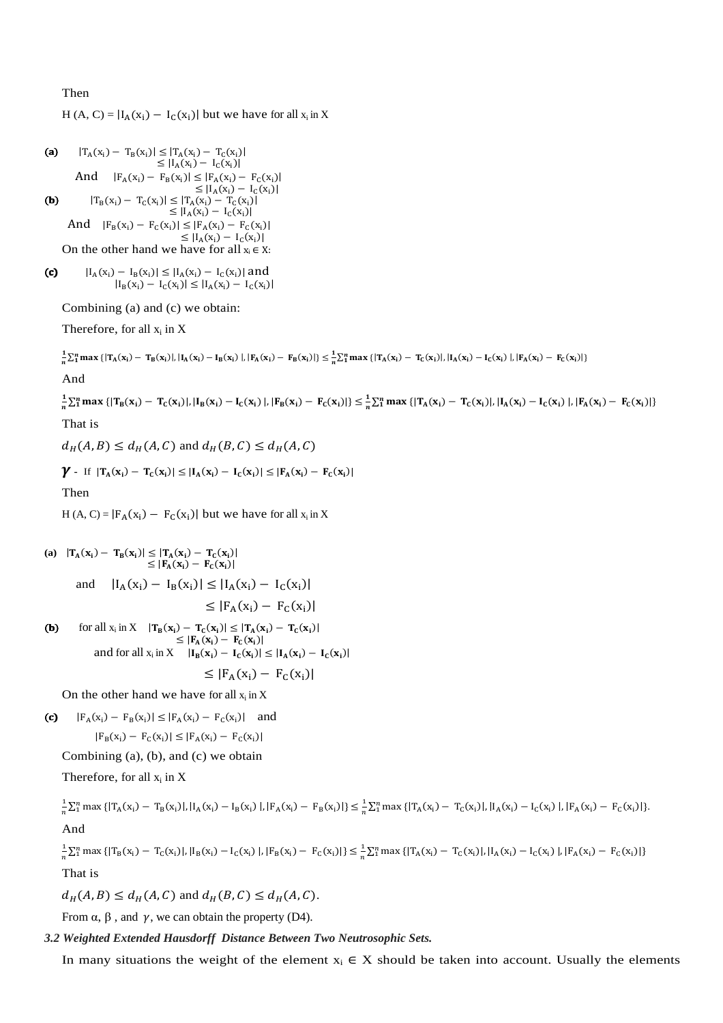# Then

H (A, C) =  $|I_A(x_i) - I_C(x_i)|$  but we have for all  $x_i$  in X

\n- (a) 
$$
|T_A(x_i) - T_B(x_i)| \leq |T_A(x_i) - T_C(x_i)|
$$
  $\leq |I_A(x_i) - I_C(x_i)|$   $\leq |I_A(x_i) - I_C(x_i)|$   $\leq |T_A(x_i) - F_C(x_i)|$   $\leq |I_A(x_i) - I_C(x_i)|$
\n- (b)  $|T_B(x_i) - T_C(x_i)| \leq |T_A(x_i) - T_C(x_i)|$   $\leq |I_A(x_i) - I_C(x_i)|$   $\leq |I_A(x_i) - I_C(x_i)|$   $\leq |I_A(x_i) - I_C(x_i)|$   $\leq |I_A(x_i) - I_C(x_i)|$   $\leq |I_A(x_i) - I_C(x_i)|$
\n
\nOn the other hand we have for all  $x_i \in X$ :

(c) 
$$
|I_A(x_i) - I_B(x_i)| \le |I_A(x_i) - I_C(x_i)|
$$
 and  
\n $|I_B(x_i) - I_C(x_i)| \le |I_A(x_i) - I_C(x_i)|$ 

Combining (a) and (c) we obtain:

Therefore, for all 
$$
x_i
$$
 in  $X$ .

$$
\frac{1}{n} \textstyle \sum_{i=1}^{n} \max \left\{ |T_A(x_i) - T_B(x_i)|, |I_A(x_i) - I_B(x_i)|, |F_A(x_i) - F_B(x_i)| \right\} \leq \frac{1}{n} \textstyle \sum_{i=1}^{n} \max \left\{ |T_A(x_i) - T_C(x_i)|, |I_A(x_i) - I_C(x_i)|, |F_A(x_i) - F_C(x_i)| \right\}
$$

And

J  $\frac{1}{n}\sum_{i=1}^{n} \max \{ |T_{B}(x_{i}) - T_{C}(x_{i})|, |I_{B}(x_{i}) - I_{C}(x_{i})|, |F_{B}(x_{i}) - F_{C}(x_{i})| \} \leq \frac{1}{n}$  $\frac{1}{n}\sum_{i=1}^{n} \max \{ |T_A(x_i) - T_C(x_i)|, |I_A(x_i) - I_C(x_i)|, |F_A(x_i) - F_C(x_i)| \}$ That is

 $d_H(A, B) \leq d_H(A, C)$  and  $d_H(B, C) \leq d_H(A, C)$ 

$$
\gamma \text{ - if } \left|T_A(x_i)-T_C(x_i)\right|\leq |I_A(x_i)-I_C(x_i)|\leq |F_A(x_i)-F_C(x_i)|
$$

Then

H (A, C) =  $|F_A(x_i) - F_C(x_i)|$  but we have for all  $x_i$  in X

(a) 
$$
|T_A(x_i) - T_B(x_i)| \leq |T_A(x_i) - T_C(x_i)|
$$

\n $\leq |F_A(x_i) - F_C(x_i)|$ 

\nand  $|I_A(x_i) - I_B(x_i)| \leq |I_A(x_i) - I_C(x_i)|$ 

\n $\leq |F_A(x_i) - F_C(x_i)|$ 

\n(b) for all  $x_i$  in  $X$   $|T_B(x_i) - T_C(x_i)| \leq |T_A(x_i) - T_C(x_i)|$ 

(a) for all 
$$
x_i
$$
 in  $A$   $|I_B(x_i) - I_C(x_i)| \leq |I_A(x_i) - I_C(x_i)|$   
\n $\leq |F_A(x_i) - F_C(x_i)|$   
\nand for all  $x_i$  in  $X$   $|I_B(x_i) - I_C(x_i)| \leq |I_A(x_i) - I_C(x_i)|$   
\n $\leq |F_A(x_i) - F_C(x_i)|$ 

On the other hand we have for all  $x_i$  in X

(c)  $|F_A(x_i) - F_B(x_i)| \le |F_A(x_i) - F_C(x_i)|$  and

$$
|F_B(x_i) - F_C(x_i)| \le |F_A(x_i) - F_C(x_i)|
$$

Combining (a), (b), and (c) we obtain

Therefore, for all  $x_i$  in  $X$ 

$$
\frac{1}{n}\sum_{i=1}^{n} \max\left\{ |T_A(x_i) - T_B(x_i)|, |I_A(x_i) - I_B(x_i)|, |F_A(x_i) - F_B(x_i)| \right\} \le \frac{1}{n}\sum_{i=1}^{n} \max\left\{ |T_A(x_i) - T_C(x_i)|, |I_A(x_i) - I_C(x_i)|, |F_A(x_i) - F_C(x_i)| \right\}.
$$
 And

 $\mathbf{1}$  $\frac{1}{n}\sum_{i=1}^{n} \max \{ |T_B(x_i) - T_C(x_i)|, |I_B(x_i) - I_C(x_i)|, |F_B(x_i) - F_C(x_i)| \} \leq \frac{1}{n}$  $\frac{1}{n}\sum_{i=1}^{n} \max \{ |T_A(x_i) - T_C(x_i)|, |I_A(x_i) - I_C(x_i)|, |F_A(x_i) - F_C(x_i)| \}$ That is

 $d_H(A, B) \le d_H(A, C)$  and  $d_H(B, C) \le d_H(A, C)$ .

From  $\alpha$ ,  $\beta$ , and  $\gamma$ , we can obtain the property (D4).

# *3.2 Weighted Extended Hausdorff Distance Between Two Neutrosophic Sets.*

In many situations the weight of the element  $x_i \in X$  should be taken into account. Usually the elements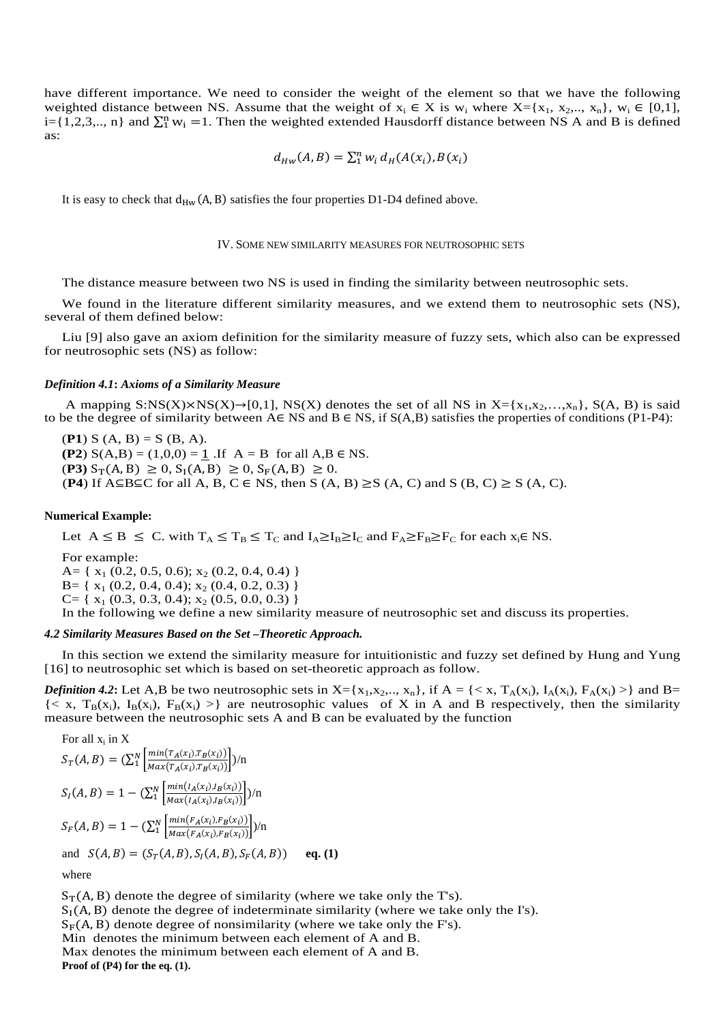have different importance. We need to consider the weight of the element so that we have the following weighted distance between NS. Assume that the weight of  $x_i \in X$  is  $w_i$  where  $X = \{x_1, x_2, ..., x_n\}$ ,  $w_i \in [0,1]$ , i={1,2,3,.., n} and  $\sum_1^n w_i = 1$ . Then the weighted extended Hausdorff distance between NS A and B is defined as:

$$
d_{HW}(A, B) = \sum_{i=1}^{n} w_i d_H(A(x_i), B(x_i))
$$

It is easy to check that  $d_{HW}(A, B)$  satisfies the four properties D1-D4 defined above.

## IV. SOME NEW SIMILARITY MEASURES FOR NEUTROSOPHIC SETS

The distance measure between two NS is used in finding the similarity between neutrosophic sets.

We found in the literature different similarity measures, and we extend them to neutrosophic sets (NS), several of them defined below:

Liu [9] also gave an axiom definition for the similarity measure of fuzzy sets, which also can be expressed for neutrosophic sets (NS) as follow:

### *Definition 4.1***:** *Axioms of a Similarity Measure*

A mapping  $S:NS(X)\rightarrow[0,1], NS(X)$  denotes the set of all NS in  $X=[x_1,x_2,...,x_n], S(A, B)$  is said to be the degree of similarity between  $A \in NS$  and  $B \in NS$ , if  $S(A,B)$  satisfies the properties of conditions (P1-P4):

 $(P1) S (A, B) = S (B, A).$ **(P2)**  $S(A,B) = (1,0,0) = 1$ . If  $A = B$  for all  $A,B \in NS$ .

 $(\mathbf{P3}) S_{\mathrm{T}}(A, B) \ge 0, S_{\mathrm{I}}(A, B) \ge 0, S_{\mathrm{F}}(A, B) \ge 0.$ 

(**P4**) If A⊆B⊆C for all A, B, C  $\in$  NS, then S (A, B)  $\geq$  S (A, C) and S (B, C)  $\geq$  S (A, C).

# **Numerical Example:**

Let  $A \leq B \leq C$ . with  $T_A \leq T_B \leq T_C$  and  $I_A \geq I_B \geq I_C$  and  $F_A \geq F_B \geq F_C$  for each  $x_i \in NS$ .

For example:

A= { $x_1$  (0.2, 0.5, 0.6);  $x_2$  (0.2, 0.4, 0.4) }  $B = \{ x_1 (0.2, 0.4, 0.4); x_2 (0.4, 0.2, 0.3) \}$  $C = \{ x_1 (0.3, 0.3, 0.4); x_2 (0.5, 0.0, 0.3) \}$ In the following we define a new similarity measure of neutrosophic set and discuss its properties.

# *4.2 Similarity Measures Based on the Set –Theoretic Approach.*

In this section we extend the similarity measure for intuitionistic and fuzzy set defined by Hung and Yung [16] to neutrosophic set which is based on set-theoretic approach as follow.

*Definition 4.2*: Let A,B be two neutrosophic sets in  $X = \{x_1, x_2, ..., x_n\}$ , if  $A = \{ \langle x, T_A(x_i), I_A(x_i), F_A(x_i) \rangle \}$  and  $B =$  ${ < x, T_B(x_i), I_B(x_i), F_B(x_i) > }$  are neutrosophic values of X in A and B respectively, then the similarity measure between the neutrosophic sets A and B can be evaluated by the function

For all 
$$
x_i
$$
 in X  
\n
$$
S_T(A, B) = (\sum_{1}^{N} \left[ \frac{\min(T_A(x_i), T_B(x_i))}{\max(T_A(x_i), T_B(x_i))} \right] / n
$$
\n
$$
S_I(A, B) = 1 - (\sum_{1}^{N} \left[ \frac{\min(I_A(x_i), I_B(x_i))}{\max(I_A(x_i), I_B(x_i))} \right] / n
$$
\n
$$
S_F(A, B) = 1 - (\sum_{1}^{N} \left[ \frac{\min(F_A(x_i), F_B(x_i))}{\max(F_A(x_i), F_B(x_i))} \right] / n
$$
\nand  $S(A, B) = (S_T(A, B), S_I(A, B), S_F(A, B))$  eq. (1)  
\nwhere

 $S_T(A, B)$  denote the degree of similarity (where we take only the T's).  $S_I(A, B)$  denote the degree of indeterminate similarity (where we take only the I's).  $S_F(A, B)$  denote degree of nonsimilarity (where we take only the F's). Min denotes the minimum between each element of A and B. Max denotes the minimum between each element of A and B. **Proof of (P4) for the eq. (1).**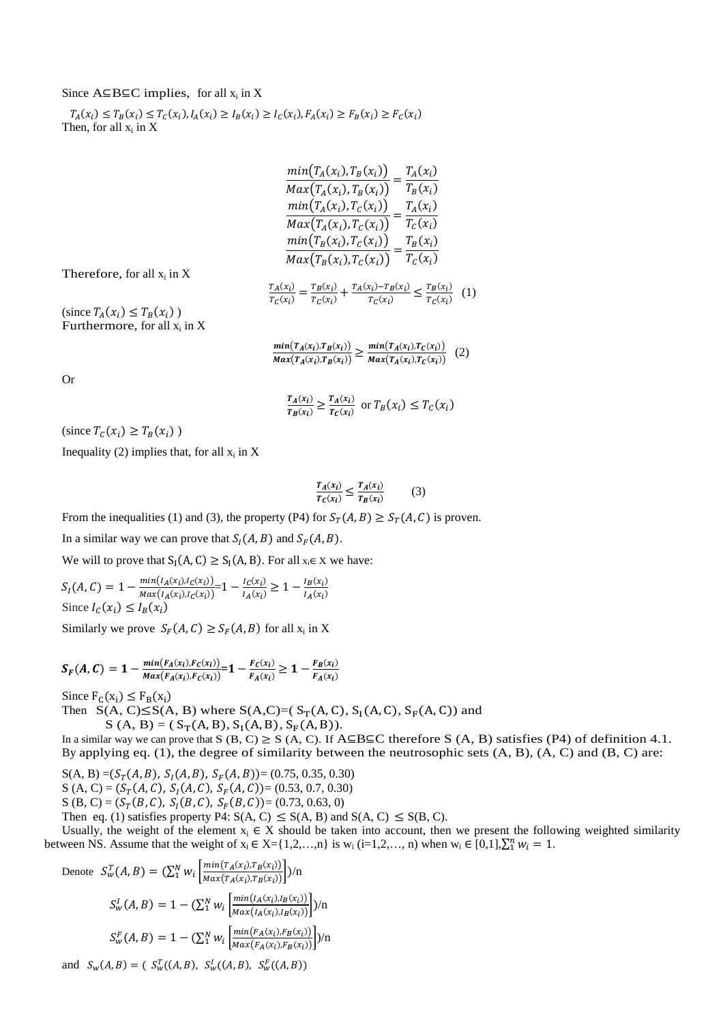# Since  $A \subseteq B \subseteq C$  implies, for all  $x_i$  in X

 $T_A(x_i) \le T_B(x_i) \le T_C(x_i), I_A(x_i) \ge I_B(x_i) \ge I_C(x_i), F_A(x_i) \ge F_B(x_i) \ge F_C(x_i)$ Then, for all  $x_i$  in X

| $min(T_A(x_i), T_B(x_i))$ | $T_A(x_i)$ |
|---------------------------|------------|
| $Max(T_A(x_i), T_B(x_i))$ | $T_B(x_i)$ |
| $min(T_A(x_i), T_C(x_i))$ | $T_A(x_i)$ |
| $Max(T_A(x_i), T_C(x_i))$ | $T_c(x_i)$ |
| $min(T_B(x_i), T_C(x_i))$ | $T_B(x_i)$ |
| $Max(T_B(x_i), T_C(x_i))$ | $T_c(x_i)$ |

Therefore, for all  $x_i$  in  $X$ 

 $T_A(x_i)$  $\frac{T_A(x_i)}{T_C(x_i)} = \frac{T_B(x_i)}{T_C(x_i)}$  $\frac{T_B(x_i)}{T_C(x_i)} + \frac{T_A(x_i) - T_B(x_i)}{T_C(x_i)}$  $\frac{x_i - T_B(x_i)}{T_C(x_i)} \leq \frac{T_B(x_i)}{T_C(x_i)}$  $\frac{r_B(x_i)}{r_C(x_i)}$  (1)

(since  $T_A(x_i) \leq T_B(x_i)$ ) Furthermore, for all  $x_i$  in X

> $min(T_A(x_i),T_B(x_i))$  $\frac{\min(T_A(x_i),T_B(x_i))}{\max(T_A(x_i),T_B(x_i))} \geq \frac{\min(T_A(x_i),T_C(x_i))}{\max(T_A(x_i),T_C(x_i))}$  $Max(T_A(x_i),T_C(x_i))$ (2)

Or

$$
\frac{r_A(x_i)}{r_B(x_i)} \ge \frac{r_A(x_i)}{r_C(x_i)} \text{ or } T_B(x_i) \le T_C(x_i)
$$

(since  $T_c(x_i) \geq T_B(x_i)$ )

Inequality (2) implies that, for all  $x_i$  in X

$$
\frac{T_A(x_i)}{T_C(x_i)} \le \frac{T_A(x_i)}{T_B(x_i)}\tag{3}
$$

From the inequalities (1) and (3), the property (P4) for  $S_T(A, B) \geq S_T(A, C)$  is proven.

In a similar way we can prove that  $S_I(A, B)$  and  $S_F(A, B)$ .

We will to prove that  $S_I(A, C) \geq S_I(A, B)$ . For all  $x_i \in X$  we have:

 $S_I(A, C) = 1 - \frac{min(I_A(x_i), I_C(x_i))}{Max(I_A(x_i), I_C(x_i))}$  $\frac{\min(I_A(x_i), I_C(x_i))}{\max(I_A(x_i), I_C(x_i))} = 1 - \frac{I_C(x_i)}{I_A(x_i)}$  $\frac{I_C(x_i)}{I_A(x_i)} \geq 1 - \frac{I_B(x_i)}{I_A(x_i)}$  $I_A(x_i)$ Since  $I_c(x_i) \leq I_B(x_i)$ 

Similarly we prove  $S_F(A, C) \ge S_F(A, B)$  for all  $x_i$  in X

$$
S_F(A, C) = 1 - \frac{\min(F_A(x_i), F_C(x_i))}{\max(F_A(x_i), F_C(x_i))} = 1 - \frac{F_C(x_i)}{F_A(x_i)} \ge 1 - \frac{F_B(x_i)}{F_A(x_i)}
$$

Since  $F_C(x_i) \leq F_B(x_i)$ 

Then  $S(A, C) \leq S(A, B)$  where  $S(A, C) = (S_T(A, C), S_I(A, C), S_F(A, C))$  and

 $S(A, B) = (S_T(A, B), S_I(A, B), S_F(A, B)).$ 

In a similar way we can prove that S (B, C)  $\geq$  S (A, C). If A⊆B⊆C therefore S (A, B) satisfies (P4) of definition 4.1. By applying eq.  $(1)$ , the degree of similarity between the neutrosophic sets  $(A, B)$ ,  $(A, C)$  and  $(B, C)$  are:

 $S(A, B) = (S_T(A, B), S_I(A, B), S_F(A, B)) = (0.75, 0.35, 0.30)$ S (A, C) =  $(S_T(A, C), S_I(A, C), S_F(A, C))$  = (0.53, 0.7, 0.30) S (B, C) =  $(S_T(B, C), S_I(B, C), S_F(B, C))$  = (0.73, 0.63, 0) Then eq. (1) satisfies property P4:  $S(A, C) \leq S(A, B)$  and  $S(A, C) \leq S(B, C)$ .

Usually, the weight of the element  $x_i \in X$  should be taken into account, then we present the following weighted similarity between NS. Assume that the weight of  $x_i \in X = \{1, 2, ..., n\}$  is  $w_i$  (i=1,2,..., n) when  $w_i \in [0,1], \sum_{i=1}^{n} w_i = 1$ .

Denote 
$$
S_W^T(A, B) = (\sum_1^N w_i \left[ \frac{\min(T_A(x_i), T_B(x_i))}{\max(T_A(x_i), T_B(x_i))} \right] / n
$$
  
\n $S_W^I(A, B) = 1 - (\sum_1^N w_i \left[ \frac{\min(I_A(x_i), I_B(x_i))}{\max(I_A(x_i), I_B(x_i))} \right] / n$   
\n $S_W^F(A, B) = 1 - (\sum_1^N w_i \left[ \frac{\min(F_A(x_i), F_B(x_i))}{\max(F_A(x_i), F_B(x_i))} \right] / n$   
\nand  $S_W(A, B) = (S_W^T((A, B), S_W^I((A, B), S_W^F((A, B)))$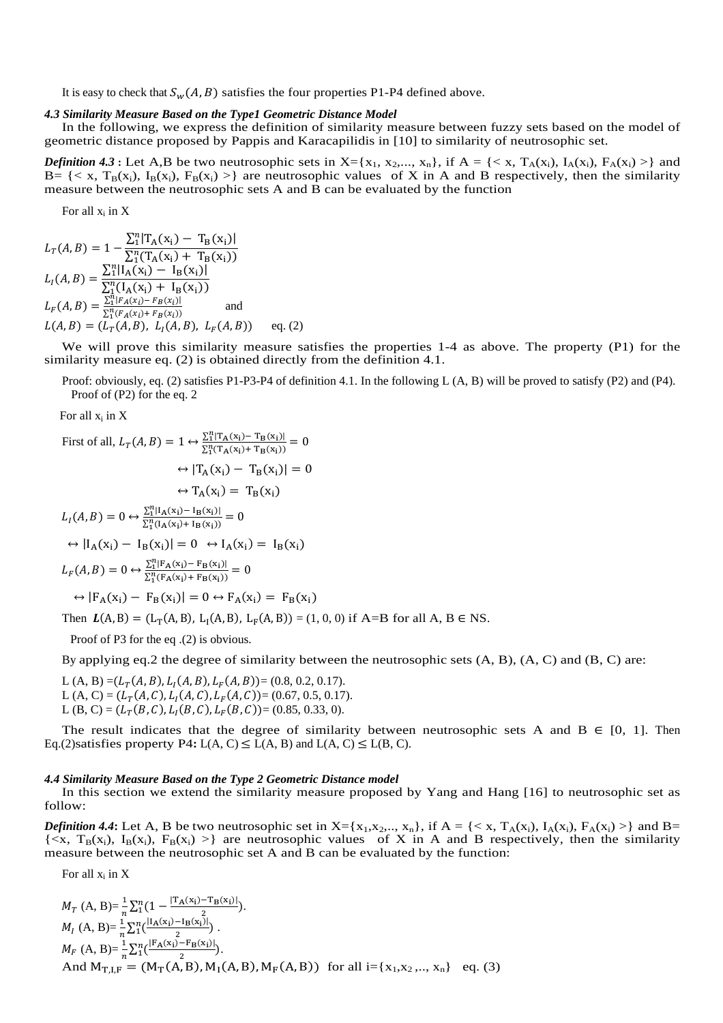It is easy to check that  $S_w(A, B)$  satisfies the four properties P1-P4 defined above.

### *4.3 Similarity Measure Based on the Type1 Geometric Distance Model*

In the following, we express the definition of similarity measure between fuzzy sets based on the model of geometric distance proposed by Pappis and Karacapilidis in [10] to similarity of neutrosophic set.

*Definition* 4.3 : Let A,B be two neutrosophic sets in  $X = \{x_1, x_2,..., x_n\}$ , if  $A = \{ \langle x, T_A(x_i), I_A(x_i), F_A(x_i) \rangle \}$  and B = { < x,  $T_B(x_i)$ ,  $I_B(x_i)$ ,  $F_B(x_i)$  >} are neutrosophic values of X in A and B respectively, then the similarity measure between the neutrosophic sets A and B can be evaluated by the function

For all  $x_i$  in  $X$ 

$$
L_T(A, B) = 1 - \frac{\sum_{i=1}^{n} \left| \frac{T_A(x_i) - T_B(x_i)}{\sum_{i=1}^{n} (T_A(x_i) + T_B(x_i))} \right|}{\sum_{i=1}^{n} \left( \frac{T_A(x_i) - T_B(x_i)}{\sum_{i=1}^{n} (T_A(x_i) + T_B(x_i))} \right)}
$$
\n
$$
L_F(A, B) = \frac{\sum_{i=1}^{n} \left| F_A(x_i) - F_B(x_i) \right|}{\sum_{i=1}^{n} (F_A(x_i) + F_B(x_i))}
$$
\nand\n
$$
L(A, B) = (L_T(A, B), L_I(A, B), L_F(A, B))
$$
 eq. (2)

We will prove this similarity measure satisfies the properties 1-4 as above. The property (P1) for the similarity measure eq. (2) is obtained directly from the definition 4.1.

Proof: obviously, eq. (2) satisfies P1-P3-P4 of definition 4.1. In the following L  $(A, B)$  will be proved to satisfy (P2) and (P4). Proof of (P2) for the eq. 2

For all  $x_i$  in X

First of all, 
$$
L_T(A, B) = 1 \leftrightarrow \frac{\sum_{i=1}^{n} [\Gamma_A(x_i) - \Gamma_B(x_i)]}{\sum_{i=1}^{n} (\Gamma_A(x_i) + \Gamma_B(x_i))} = 0
$$
  
\n $\leftrightarrow |\Gamma_A(x_i) - \Gamma_B(x_i)| = 0$   
\n $\leftrightarrow \Gamma_A(x_i) = \Gamma_B(x_i)$   
\n $L_I(A, B) = 0 \leftrightarrow \frac{\sum_{i=1}^{n} [I_A(x_i) - I_B(x_i)]}{\sum_{i=1}^{n} (I_A(x_i) + I_B(x_i))} = 0$   
\n $\leftrightarrow |I_A(x_i) - I_B(x_i)| = 0 \leftrightarrow I_A(x_i) = I_B(x_i)$   
\n $L_F(A, B) = 0 \leftrightarrow \frac{\sum_{i=1}^{n} [F_A(x_i) - F_B(x_i)]}{\sum_{i=1}^{n} (F_A(x_i) + F_B(x_i))} = 0$   
\n $\leftrightarrow |F_A(x_i) - F_B(x_i)| = 0 \leftrightarrow F_A(x_i) = F_B(x_i)$   
\nThen  $L(A, B) = (L_T(A, B), L_I(A, B), L_F(A, B)) = (1, 0, 0)$  if A=B for all A, B \in NS.

Proof of P3 for the eq .(2) is obvious.

By applying eq.2 the degree of similarity between the neutrosophic sets (A, B), (A, C) and (B, C) are:

L (A, B) =  $(L_T(A, B), L_I(A, B), L_F(A, B))$  = (0.8, 0.2, 0.17). L (A, C) =  $(L_T(A, C), L_I(A, C), L_F(A, C)) = (0.67, 0.5, 0.17).$ L (B, C) =  $(L_T(B, C), L_I(B, C), L_F(B, C))$  = (0.85, 0.33, 0).

The result indicates that the degree of similarity between neutrosophic sets A and  $B \in [0, 1]$ . Then Eq.(2) satisfies property P4**:**  $L(A, C) \le L(A, B)$  and  $L(A, C) \le L(B, C)$ .

### *4.4 Similarity Measure Based on the Type 2 Geometric Distance model*

In this section we extend the similarity measure proposed by Yang and Hang [16] to neutrosophic set as follow:

*Definition 4.4*: Let A, B be two neutrosophic set in  $X = \{x_1, x_2, ..., x_n\}$ , if  $A = \{ \langle x, T_A(x_i), I_A(x_i), F_A(x_i) \rangle \}$  and  $B =$  $\{ \langle x, T_B(x_i), I_B(x_i), F_B(x_i) \rangle \}$  are neutrosophic values of X in A and B respectively, then the similarity measure between the neutrosophic set A and B can be evaluated by the function:

For all  $x_i$  in  $X$ 

$$
M_{T} (A, B)=\frac{1}{n}\sum_{1}^{n}(1-\frac{|T_{A}(x_{i})-T_{B}(x_{i})|}{2}).
$$
  
\n
$$
M_{I} (A, B)=\frac{1}{n}\sum_{1}^{n}(\frac{|I_{A}(x_{i})-I_{B}(x_{i})|}{2}).
$$
  
\n
$$
M_{F} (A, B)=\frac{1}{n}\sum_{1}^{n}(\frac{|F_{A}(x_{i})-F_{B}(x_{i})|}{2}).
$$
  
\nAnd  $M_{T,I,F} = (M_{T}(A, B), M_{I}(A, B), M_{F}(A, B))$  for all  $i=\{x_{1}, x_{2}, ..., x_{n}\}$  eq. (3)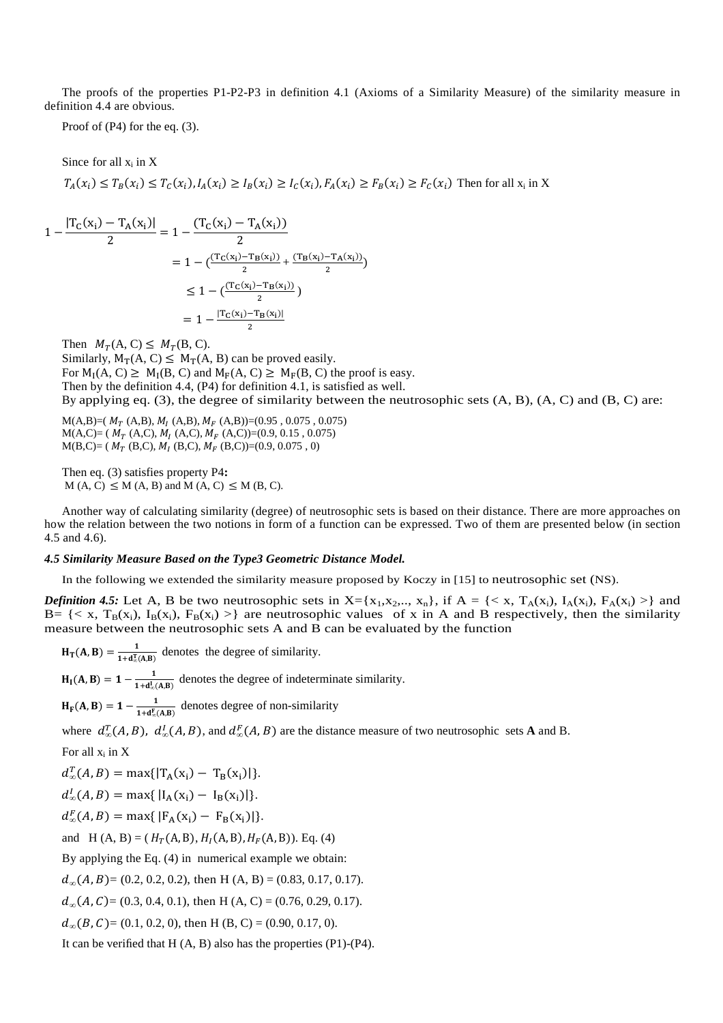The proofs of the properties P1-P2-P3 in definition 4.1 (Axioms of a Similarity Measure) of the similarity measure in definition 4.4 are obvious.

Proof of (P4) for the eq. (3).

Since for all  $x_i$  in X  $T_A(x_i) \leq T_B(x_i) \leq T_C(x_i)$ ,  $I_A(x_i) \geq I_B(x_i) \geq I_C(x_i)$ ,  $F_A(x_i) \geq F_B(x_i) \geq F_C(x_i)$  Then for all  $x_i$  in X

$$
1 - \frac{|T_C(x_i) - T_A(x_i)|}{2} = 1 - \frac{(T_C(x_i) - T_A(x_i))}{2}
$$
  
= 
$$
1 - \frac{(T_C(x_i) - T_B(x_i))}{2} + \frac{(T_B(x_i) - T_A(x_i))}{2}
$$
  

$$
\leq 1 - \frac{(T_C(x_i) - T_B(x_i))}{2}
$$
  
= 
$$
1 - \frac{|T_C(x_i) - T_B(x_i)|}{2}
$$

Then  $M_T(A, C) \leq M_T(B, C)$ . Similarly,  $M_T(A, C) \leq M_T(A, B)$  can be proved easily. For  $M_I(A, C) \ge M_I(B, C)$  and  $M_F(A, C) \ge M_F(B, C)$  the proof is easy. Then by the definition 4.4, (P4) for definition 4.1, is satisfied as well. By applying eq.  $(3)$ , the degree of similarity between the neutrosophic sets  $(A, B)$ ,  $(A, C)$  and  $(B, C)$  are:

 $M(A,B)=(M_T (A,B), M_I (A,B), M_F (A,B))=(0.95, 0.075, 0.075)$  $M(A,C)=(M_T (A,C), M_I (A,C), M_F (A,C))=(0.9, 0.15, 0.075)$  $M(B,C) = (M_T (B,C), M_I (B,C), M_F (B,C)) = (0.9, 0.075, 0)$ 

Then eq. (3) satisfies property P4**:**   $M(A, C) \leq M(A, B)$  and  $M(A, C) \leq M(B, C)$ .

Another way of calculating similarity (degree) of neutrosophic sets is based on their distance. There are more approaches on how the relation between the two notions in form of a function can be expressed. Two of them are presented below (in section 4.5 and 4.6).

## *4.5 Similarity Measure Based on the Type3 Geometric Distance Model.*

In the following we extended the similarity measure proposed by Koczy in [15] to neutrosophic set (NS).

*Definition 4.5:* Let A, B be two neutrosophic sets in  $X = \{x_1, x_2, ..., x_n\}$ , if  $A = \{ \langle x, T_A(x_i), I_A(x_i), F_A(x_i) \rangle \}$  and B = { < x,  $T_B(x_i)$ ,  $I_B(x_i)$ ,  $F_B(x_i)$  >} are neutrosophic values of x in A and B respectively, then the similarity measure between the neutrosophic sets A and B can be evaluated by the function

$$
H_T(A, B) = \frac{1}{1 + d_{\phi}^T(A, B)}
$$
 denotes the degree of similarity.

 $H_I(A, B) = 1 - \frac{1}{1 + d_{\infty}^I(A, B)}$  denotes the degree of indeterminate similarity.

 $H_F(A, B) = 1 - \frac{1}{1 + d_E^F(A, B)}$  denotes degree of non-similarity

where  $d_{\infty}^T(A, B)$ ,  $d_{\infty}^T(A, B)$ , and  $d_{\infty}^F(A, B)$  are the distance measure of two neutrosophic sets **A** and B.

For all  $x_i$  in  $X$ 

 $d_{\infty}^{T}(A, B) = \max\{|T_{A}(x_i) - T_{B}(x_i)|\}.$ 

$$
d_{\infty}^{I}(A, B) = \max\{|I_{A}(x_{i}) - I_{B}(x_{i})|\}.
$$

 $d_{\infty}^{F}(A, B) = \max\{|F_{A}(x_i) - F_{B}(x_i)|\}.$ 

and  $H(A, B) = (H_T(A, B), H_I(A, B), H_F(A, B)).$  Eq. (4)

By applying the Eq. (4) in numerical example we obtain:

 $d_{\infty}(A, B) = (0.2, 0.2, 0.2)$ , then H (A, B) = (0.83, 0.17, 0.17).

 $d_{\infty}(A, C) = (0.3, 0.4, 0.1)$ , then H (A, C) = (0.76, 0.29, 0.17).

 $d_{\infty}(B, C) = (0.1, 0.2, 0)$ , then H (B, C) = (0.90, 0.17, 0).

It can be verified that  $H(A, B)$  also has the properties  $(P1)$ - $(P4)$ .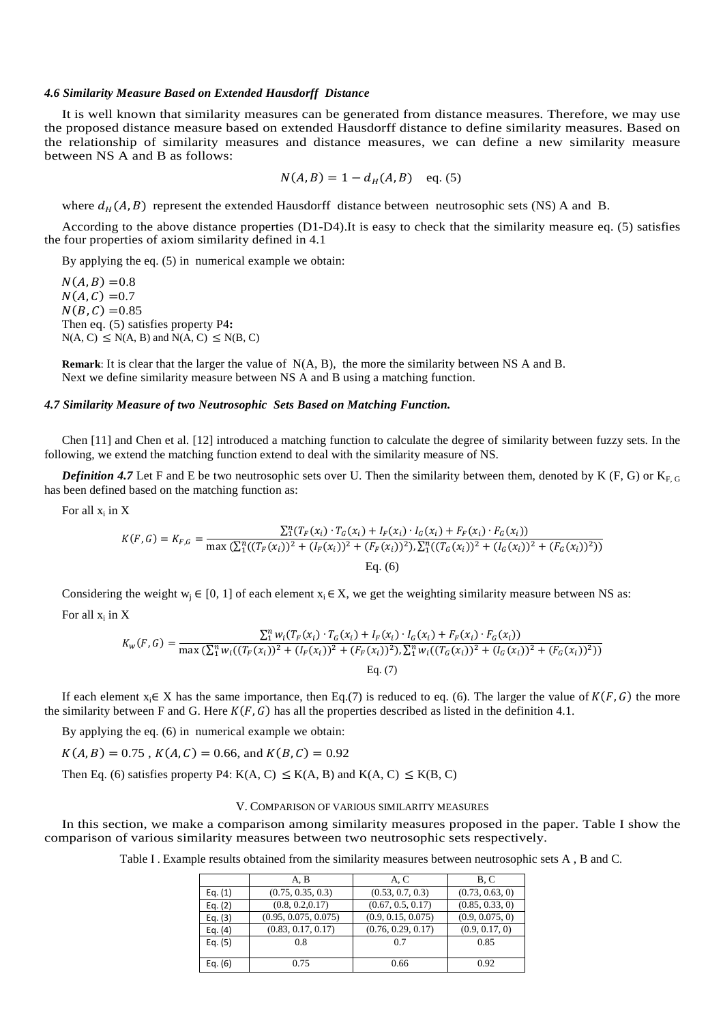### *4.6 Similarity Measure Based on Extended Hausdorff Distance*

It is well known that similarity measures can be generated from distance measures. Therefore, we may use the proposed distance measure based on extended Hausdorff distance to define similarity measures. Based on the relationship of similarity measures and distance measures, we can define a new similarity measure between NS A and B as follows:

$$
N(A, B) = 1 - d_H(A, B)
$$
 eq. (5)

where  $d_H(A, B)$  represent the extended Hausdorff distance between neutrosophic sets (NS) A and B.

According to the above distance properties (D1-D4).It is easy to check that the similarity measure eq. (5) satisfies the four properties of axiom similarity defined in 4.1

By applying the eq. (5) in numerical example we obtain:

 $N(A, B) = 0.8$  $N(A, C) = 0.7$  $N(B, C) = 0.85$ Then eq. (5) satisfies property P4**:**   $N(A, C) \leq N(A, B)$  and  $N(A, C) \leq N(B, C)$ 

**Remark**: It is clear that the larger the value of N(A, B), the more the similarity between NS A and B. Next we define similarity measure between NS A and B using a matching function.

# *4.7 Similarity Measure of two Neutrosophic Sets Based on Matching Function.*

Chen [11] and Chen et al. [12] introduced a matching function to calculate the degree of similarity between fuzzy sets. In the following, we extend the matching function extend to deal with the similarity measure of NS.

*Definition 4.7* Let F and E be two neutrosophic sets over U. Then the similarity between them, denoted by K (F, G) or  $K_{F, G}$ has been defined based on the matching function as:

For all  $x_i$  in  $X$ 

$$
K(F,G) = K_{F,G} = \frac{\sum_{1}^{n} (T_F(x_i) \cdot T_G(x_i) + I_F(x_i) \cdot I_G(x_i) + F_F(x_i) \cdot F_G(x_i))}{\max (\sum_{1}^{n} ((T_F(x_i))^2 + (I_F(x_i))^2 + (F_F(x_i))^2), \sum_{1}^{n} ((T_G(x_i))^2 + (I_G(x_i))^2 + (F_G(x_i))^2))}
$$
  
Eq. (6)

Considering the weight w<sub>i</sub> ∈ [0, 1] of each element  $x_i \in X$ , we get the weighting similarity measure between NS as: For all  $x_i$  in  $X$ 

$$
K_{w}(F,G) = \frac{\sum_{1}^{n} w_{i}(T_{F}(x_{i}) \cdot T_{G}(x_{i}) + I_{F}(x_{i}) \cdot I_{G}(x_{i}) + F_{F}(x_{i}) \cdot F_{G}(x_{i}))}{\max(\sum_{1}^{n} w_{i}((T_{F}(x_{i}))^{2} + (I_{F}(x_{i}))^{2} + (F_{F}(x_{i}))^{2}), \sum_{1}^{n} w_{i}((T_{G}(x_{i}))^{2} + (I_{G}(x_{i}))^{2} + (F_{G}(x_{i}))^{2}))}{\text{Eq. (7)}}
$$

If each element  $x_i \in X$  has the same importance, then Eq.(7) is reduced to eq. (6). The larger the value of  $K(F, G)$  the more the similarity between F and G. Here  $K(F, G)$  has all the properties described as listed in the definition 4.1.

By applying the eq. (6) in numerical example we obtain:

 $K(A, B) = 0.75$ ,  $K(A, C) = 0.66$ , and  $K(B, C) = 0.92$ 

Then Eq. (6) satisfies property P4: K(A, C)  $\leq$  K(A, B) and K(A, C)  $\leq$  K(B, C)

### V. COMPARISON OF VARIOUS SIMILARITY MEASURES

In this section, we make a comparison among similarity measures proposed in the paper. Table I show the comparison of various similarity measures between two neutrosophic sets respectively.

Table I . Example results obtained from the similarity measures between neutrosophic sets A , B and C.

|           | A, B                 | A, C               | B.C             |
|-----------|----------------------|--------------------|-----------------|
| Eq. $(1)$ | (0.75, 0.35, 0.3)    | (0.53, 0.7, 0.3)   | (0.73, 0.63, 0) |
| Eq. $(2)$ | (0.8, 0.2, 0.17)     | (0.67, 0.5, 0.17)  | (0.85, 0.33, 0) |
| Eq. $(3)$ | (0.95, 0.075, 0.075) | (0.9, 0.15, 0.075) | (0.9, 0.075, 0) |
| Eq. $(4)$ | (0.83, 0.17, 0.17)   | (0.76, 0.29, 0.17) | (0.9, 0.17, 0)  |
| Eq. $(5)$ | 0.8                  | 0.7                | 0.85            |
|           |                      |                    |                 |
| Eq. $(6)$ | 0.75                 | 0.66               | 0.92            |